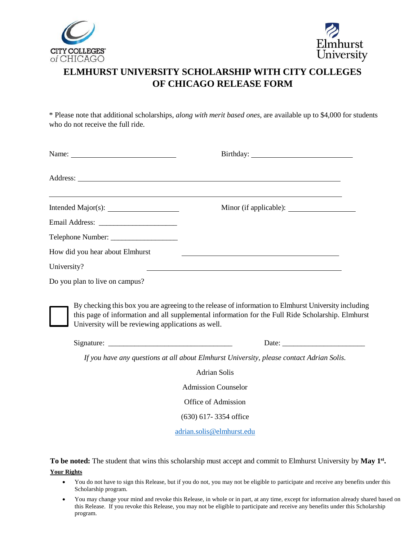



## **ELMHURST UNIVERSITY SCHOLARSHIP WITH CITY COLLEGES OF CHICAGO RELEASE FORM**

\* Please note that additional scholarships, *along with merit based ones*, are available up to \$4,000 for students who do not receive the full ride.

| Name:                                              |                                                                                                                                                                                                                               |
|----------------------------------------------------|-------------------------------------------------------------------------------------------------------------------------------------------------------------------------------------------------------------------------------|
|                                                    |                                                                                                                                                                                                                               |
|                                                    | ,我们也不能会在这里,我们也不能会在这里,我们也不能会在这里,我们也不能会在这里,我们也不能会在这里,我们也不能会在这里,我们也不能会在这里,我们也不能会不能会                                                                                                                                              |
|                                                    |                                                                                                                                                                                                                               |
|                                                    |                                                                                                                                                                                                                               |
| How did you hear about Elmhurst                    |                                                                                                                                                                                                                               |
| University?                                        | the control of the control of the control of the control of the control of the control of the control of the control of the control of the control of the control of the control of the control of the control of the control |
| Do you plan to live on campus?                     |                                                                                                                                                                                                                               |
| University will be reviewing applications as well. | By checking this box you are agreeing to the release of information to Elmhurst University including<br>this page of information and all supplemental information for the Full Ride Scholarship. Elmhurst                     |
|                                                    |                                                                                                                                                                                                                               |
|                                                    | If you have any questions at all about Elmhurst University, please contact Adrian Solis.                                                                                                                                      |
|                                                    | <b>Adrian Solis</b>                                                                                                                                                                                                           |
|                                                    | <b>Admission Counselor</b>                                                                                                                                                                                                    |
|                                                    | Office of Admission                                                                                                                                                                                                           |
|                                                    | $(630)$ 617-3354 office                                                                                                                                                                                                       |
|                                                    | adrian.solis@elmhurst.edu                                                                                                                                                                                                     |

**To be noted:** The student that wins this scholarship must accept and commit to Elmhurst University by **May 1 st . Your Rights**

- You do not have to sign this Release, but if you do not, you may not be eligible to participate and receive any benefits under this Scholarship program.
- You may change your mind and revoke this Release, in whole or in part, at any time, except for information already shared based on this Release. If you revoke this Release, you may not be eligible to participate and receive any benefits under this Scholarship program.